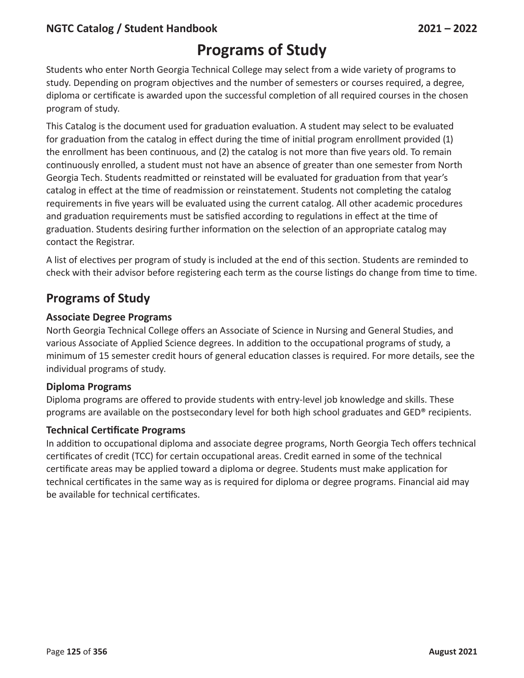### **NGTC Catalog / Student Handbook 2021 – 2022**

## **Programs of Study**

Students who enter North Georgia Technical College may select from a wide variety of programs to study. Depending on program objectives and the number of semesters or courses required, a degree, diploma or certificate is awarded upon the successful completion of all required courses in the chosen program of study.

This Catalog is the document used for graduation evaluation. A student may select to be evaluated for graduation from the catalog in effect during the time of initial program enrollment provided (1) the enrollment has been continuous, and (2) the catalog is not more than five years old. To remain continuously enrolled, a student must not have an absence of greater than one semester from North Georgia Tech. Students readmitted or reinstated will be evaluated for graduation from that year's catalog in effect at the time of readmission or reinstatement. Students not completing the catalog requirements in five years will be evaluated using the current catalog. All other academic procedures and graduation requirements must be satisfied according to regulations in effect at the time of graduation. Students desiring further information on the selection of an appropriate catalog may contact the Registrar.

A list of electives per program of study is included at the end of this section. Students are reminded to check with their advisor before registering each term as the course listings do change from time to time.

### **Programs of Study**

#### **Associate Degree Programs**

North Georgia Technical College offers an Associate of Science in Nursing and General Studies, and various Associate of Applied Science degrees. In addition to the occupational programs of study, a minimum of 15 semester credit hours of general education classes is required. For more details, see the individual programs of study.

#### **Diploma Programs**

Diploma programs are offered to provide students with entry-level job knowledge and skills. These programs are available on the postsecondary level for both high school graduates and GED® recipients.

#### **Technical Certificate Programs**

In addition to occupational diploma and associate degree programs, North Georgia Tech offers technical certificates of credit (TCC) for certain occupational areas. Credit earned in some of the technical certificate areas may be applied toward a diploma or degree. Students must make application for technical certificates in the same way as is required for diploma or degree programs. Financial aid may be available for technical certificates.